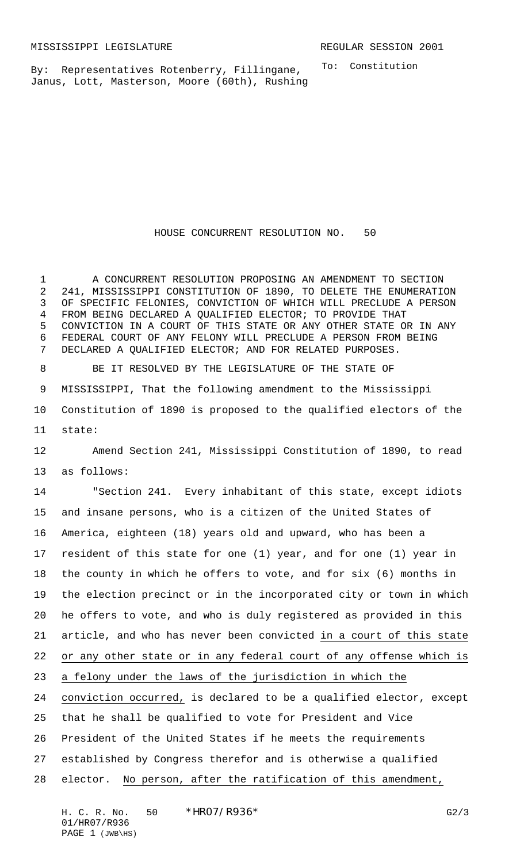By: Representatives Rotenberry, Fillingane, Janus, Lott, Masterson, Moore (60th), Rushing To: Constitution

HOUSE CONCURRENT RESOLUTION NO. 50

 A CONCURRENT RESOLUTION PROPOSING AN AMENDMENT TO SECTION 241, MISSISSIPPI CONSTITUTION OF 1890, TO DELETE THE ENUMERATION OF SPECIFIC FELONIES, CONVICTION OF WHICH WILL PRECLUDE A PERSON FROM BEING DECLARED A QUALIFIED ELECTOR; TO PROVIDE THAT CONVICTION IN A COURT OF THIS STATE OR ANY OTHER STATE OR IN ANY FEDERAL COURT OF ANY FELONY WILL PRECLUDE A PERSON FROM BEING DECLARED A QUALIFIED ELECTOR; AND FOR RELATED PURPOSES.

 BE IT RESOLVED BY THE LEGISLATURE OF THE STATE OF MISSISSIPPI, That the following amendment to the Mississippi Constitution of 1890 is proposed to the qualified electors of the state:

 Amend Section 241, Mississippi Constitution of 1890, to read as follows:

 "Section 241. Every inhabitant of this state, except idiots and insane persons, who is a citizen of the United States of America, eighteen (18) years old and upward, who has been a resident of this state for one (1) year, and for one (1) year in the county in which he offers to vote, and for six (6) months in the election precinct or in the incorporated city or town in which he offers to vote, and who is duly registered as provided in this article, and who has never been convicted in a court of this state or any other state or in any federal court of any offense which is a felony under the laws of the jurisdiction in which the conviction occurred, is declared to be a qualified elector, except that he shall be qualified to vote for President and Vice President of the United States if he meets the requirements established by Congress therefor and is otherwise a qualified elector. No person, after the ratification of this amendment,

H. C. R. No. 50 \* HRO7/R936 \* CARP 7 62/3 01/HR07/R936 PAGE 1 (JWB\HS)